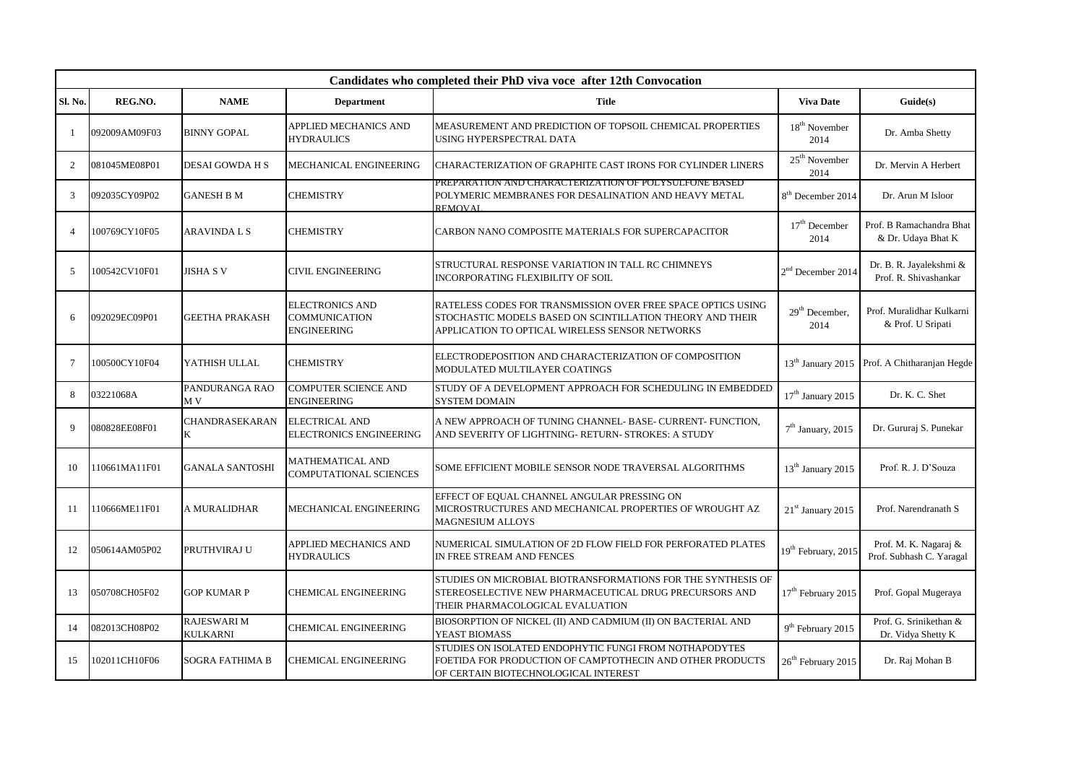|                 | Candidates who completed their PhD viva voce after 12th Convocation |                                       |                                                                      |                                                                                                                                                                              |                                    |                                                   |  |
|-----------------|---------------------------------------------------------------------|---------------------------------------|----------------------------------------------------------------------|------------------------------------------------------------------------------------------------------------------------------------------------------------------------------|------------------------------------|---------------------------------------------------|--|
| Sl. No.         | REG.NO.                                                             | <b>NAME</b>                           | <b>Department</b>                                                    | Title                                                                                                                                                                        | <b>Viva Date</b>                   | Guide(s)                                          |  |
|                 | 092009AM09F03                                                       | <b>BINNY GOPAL</b>                    | APPLIED MECHANICS AND<br><b>HYDRAULICS</b>                           | MEASUREMENT AND PREDICTION OF TOPSOIL CHEMICAL PROPERTIES<br>USING HYPERSPECTRAL DATA                                                                                        | $18^{\rm th}$ November<br>2014     | Dr. Amba Shetty                                   |  |
| 2               | 081045ME08P01                                                       | <b>DESAI GOWDA H S</b>                | MECHANICAL ENGINEERING                                               | CHARACTERIZATION OF GRAPHITE CAST IRONS FOR CYLINDER LINERS                                                                                                                  | 25 <sup>th</sup> November<br>2014  | Dr. Mervin A Herbert                              |  |
| 3               | 092035CY09P02                                                       | <b>GANESH B M</b>                     | <b>CHEMISTRY</b>                                                     | PREPARATION AND CHARACTERIZATION OF POLYSULFONE BASED<br>POLYMERIC MEMBRANES FOR DESALINATION AND HEAVY METAL<br><b>REMOVAL</b>                                              | 8 <sup>th</sup> December 2014      | Dr. Arun M Isloor                                 |  |
| $\overline{4}$  | 100769CY10F05                                                       | ARAVINDA L S                          | <b>CHEMISTRY</b>                                                     | CARBON NANO COMPOSITE MATERIALS FOR SUPERCAPACITOR                                                                                                                           | 17 <sup>th</sup> December<br>2014  | Prof. B Ramachandra Bhat<br>& Dr. Udaya Bhat K    |  |
| .5              | 100542CV10F01                                                       | <b>JISHA S V</b>                      | <b>CIVIL ENGINEERING</b>                                             | STRUCTURAL RESPONSE VARIATION IN TALL RC CHIMNEYS<br><b>INCORPORATING FLEXIBILITY OF SOIL</b>                                                                                | 2 <sup>nd</sup> December 2014      | Dr. B. R. Jayalekshmi &<br>Prof. R. Shivashankar  |  |
| 6               | 092029EC09P01                                                       | <b>GEETHA PRAKASH</b>                 | <b>ELECTRONICS AND</b><br><b>COMMUNICATION</b><br><b>ENGINEERING</b> | RATELESS CODES FOR TRANSMISSION OVER FREE SPACE OPTICS USING<br>STOCHASTIC MODELS BASED ON SCINTILLATION THEORY AND THEIR<br>APPLICATION TO OPTICAL WIRELESS SENSOR NETWORKS | 29 <sup>th</sup> December,<br>2014 | Prof. Muralidhar Kulkarni<br>& Prof. U Sripati    |  |
| $7\phantom{.0}$ | 100500CY10F04                                                       | YATHISH ULLAL                         | <b>CHEMISTRY</b>                                                     | ELECTRODEPOSITION AND CHARACTERIZATION OF COMPOSITION<br>MODULATED MULTILAYER COATINGS                                                                                       | 13 <sup>th</sup> January 2015      | Prof. A Chitharanjan Hegde                        |  |
| 8               | 03221068A                                                           | PANDURANGA RAO<br>M V                 | <b>COMPUTER SCIENCE AND</b><br><b>ENGINEERING</b>                    | STUDY OF A DEVELOPMENT APPROACH FOR SCHEDULING IN EMBEDDED<br><b>SYSTEM DOMAIN</b>                                                                                           | $17^{\rm th}$ January 2015         | Dr. K. C. Shet                                    |  |
| $\mathbf Q$     | 080828EE08F01                                                       | CHANDRASEKARAN<br>K                   | <b>ELECTRICAL AND</b><br><b>ELECTRONICS ENGINEERING</b>              | A NEW APPROACH OF TUNING CHANNEL-BASE- CURRENT- FUNCTION,<br>AND SEVERITY OF LIGHTNING-RETURN- STROKES: A STUDY                                                              | $7th$ January, 2015                | Dr. Gururaj S. Punekar                            |  |
| 10              | 110661MA11F01                                                       | <b>GANALA SANTOSHI</b>                | <b>MATHEMATICAL AND</b><br><b>COMPUTATIONAL SCIENCES</b>             | SOME EFFICIENT MOBILE SENSOR NODE TRAVERSAL ALGORITHMS                                                                                                                       | 13 <sup>th</sup> January 2015      | Prof. R. J. D'Souza                               |  |
| 11              | 110666ME11F01                                                       | A MURALIDHAR                          | MECHANICAL ENGINEERING                                               | EFFECT OF EQUAL CHANNEL ANGULAR PRESSING ON<br>MICROSTRUCTURES AND MECHANICAL PROPERTIES OF WROUGHT AZ<br><b>MAGNESIUM ALLOYS</b>                                            | 21 <sup>st</sup> January 2015      | Prof. Narendranath S                              |  |
| 12              | 050614AM05P02                                                       | PRUTHVIRAJ U                          | <b>APPLIED MECHANICS AND</b><br><b>HYDRAULICS</b>                    | NUMERICAL SIMULATION OF 2D FLOW FIELD FOR PERFORATED PLATES<br>IN FREE STREAM AND FENCES                                                                                     | 19 <sup>th</sup> February, 2015    | Prof. M. K. Nagaraj &<br>Prof. Subhash C. Yaragal |  |
| 13              | 050708CH05F02                                                       | <b>GOP KUMAR P</b>                    | CHEMICAL ENGINEERING                                                 | STUDIES ON MICROBIAL BIOTRANSFORMATIONS FOR THE SYNTHESIS OF<br>STEREOSELECTIVE NEW PHARMACEUTICAL DRUG PRECURSORS AND<br>THEIR PHARMACOLOGICAL EVALUATION                   | 17 <sup>th</sup> February 2015     | Prof. Gopal Mugeraya                              |  |
| 14              | 082013CH08P02                                                       | <b>RAJESWARI M</b><br><b>KULKARNI</b> | <b>CHEMICAL ENGINEERING</b>                                          | BIOSORPTION OF NICKEL (II) AND CADMIUM (II) ON BACTERIAL AND<br>YEAST BIOMASS                                                                                                | $9^{th}$ February 2015             | Prof. G. Srinikethan &<br>Dr. Vidya Shetty K      |  |
| 15              | 102011CH10F06                                                       | SOGRA FATHIMA B                       | <b>CHEMICAL ENGINEERING</b>                                          | STUDIES ON ISOLATED ENDOPHYTIC FUNGI FROM NOTHAPODYTES<br>FOETIDA FOR PRODUCTION OF CAMPTOTHECIN AND OTHER PRODUCTS<br>OF CERTAIN BIOTECHNOLOGICAL INTEREST                  | 26 <sup>th</sup> February 2015     | Dr. Raj Mohan B                                   |  |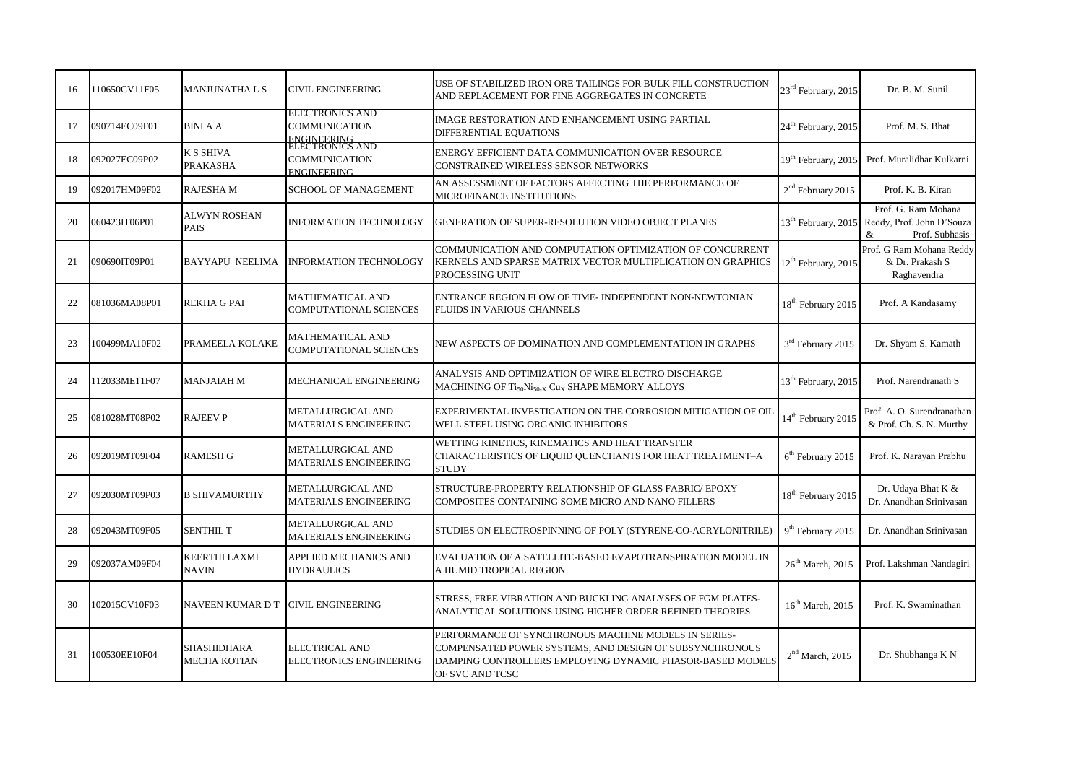| 16 | 110650CV11F05 | <b>MANJUNATHA L S</b>               | <b>CIVIL ENGINEERING</b>                                                     | USE OF STABILIZED IRON ORE TAILINGS FOR BULK FILL CONSTRUCTION<br>AND REPLACEMENT FOR FINE AGGREGATES IN CONCRETE                                                                               | 23 <sup>rd</sup> February, 2015 | Dr. B. M. Sunil                                                         |
|----|---------------|-------------------------------------|------------------------------------------------------------------------------|-------------------------------------------------------------------------------------------------------------------------------------------------------------------------------------------------|---------------------------------|-------------------------------------------------------------------------|
| 17 | 090714EC09F01 | <b>BINI A A</b>                     | ELECTRONICS AND<br><b>COMMUNICATION</b>                                      | IMAGE RESTORATION AND ENHANCEMENT USING PARTIAL<br>DIFFERENTIAL EQUATIONS                                                                                                                       | 24 <sup>th</sup> February, 2015 | Prof. M. S. Bhat                                                        |
| 18 | 092027EC09P02 | <b>K S SHIVA</b><br><b>PRAKASHA</b> | ENGINEERING<br>ELECTRONICS AND<br><b>COMMUNICATION</b><br><b>ENGINEERING</b> | ENERGY EFFICIENT DATA COMMUNICATION OVER RESOURCE<br>CONSTRAINED WIRELESS SENSOR NETWORKS                                                                                                       | 19 <sup>th</sup> February, 2015 | Prof. Muralidhar Kulkarni                                               |
| 19 | 092017HM09F02 | <b>RAJESHAM</b>                     | <b>SCHOOL OF MANAGEMENT</b>                                                  | AN ASSESSMENT OF FACTORS AFFECTING THE PERFORMANCE OF<br>MICROFINANCE INSTITUTIONS                                                                                                              | $2nd$ February 2015             | Prof. K. B. Kiran                                                       |
| 20 | 060423IT06P01 | <b>ALWYN ROSHAN</b><br><b>PAIS</b>  | <b>INFORMATION TECHNOLOGY</b>                                                | GENERATION OF SUPER-RESOLUTION VIDEO OBJECT PLANES                                                                                                                                              | 13 <sup>th</sup> February, 2015 | Prof. G. Ram Mohana<br>Reddy, Prof. John D'Souza<br>&<br>Prof. Subhasis |
| 21 | 090690IT09P01 | <b>BAYYAPU NEELIMA</b>              | <b>INFORMATION TECHNOLOGY</b>                                                | COMMUNICATION AND COMPUTATION OPTIMIZATION OF CONCURRENT<br>KERNELS AND SPARSE MATRIX VECTOR MULTIPLICATION ON GRAPHICS<br>PROCESSING UNIT                                                      | $12^{th}$ February, 2015        | Prof. G Ram Mohana Reddy<br>& Dr. Prakash S<br>Raghavendra              |
| 22 | 081036MA08P01 | <b>REKHA G PAI</b>                  | <b>MATHEMATICAL AND</b><br><b>COMPUTATIONAL SCIENCES</b>                     | ENTRANCE REGION FLOW OF TIME- INDEPENDENT NON-NEWTONIAN<br>FLUIDS IN VARIOUS CHANNELS                                                                                                           | 18 <sup>th</sup> February 2015  | Prof. A Kandasamy                                                       |
| 23 | 100499MA10F02 | PRAMEELA KOLAKE                     | <b>MATHEMATICAL AND</b><br><b>COMPUTATIONAL SCIENCES</b>                     | NEW ASPECTS OF DOMINATION AND COMPLEMENTATION IN GRAPHS                                                                                                                                         | 3 <sup>rd</sup> February 2015   | Dr. Shyam S. Kamath                                                     |
| 24 | 112033ME11F07 | <b>MANJAIAH M</b>                   | MECHANICAL ENGINEERING                                                       | ANALYSIS AND OPTIMIZATION OF WIRE ELECTRO DISCHARGE<br>MACHINING OF Ti <sub>50</sub> Ni <sub>50-X</sub> Cu <sub>X</sub> SHAPE MEMORY ALLOYS                                                     | 13 <sup>th</sup> February, 2015 | Prof. Narendranath S                                                    |
| 25 | 081028MT08P02 | <b>RAJEEV P</b>                     | <b>METALLURGICAL AND</b><br><b>MATERIALS ENGINEERING</b>                     | EXPERIMENTAL INVESTIGATION ON THE CORROSION MITIGATION OF OIL<br>WELL STEEL USING ORGANIC INHIBITORS                                                                                            | 14 <sup>th</sup> February 2015  | Prof. A. O. Surendranathan<br>& Prof. Ch. S. N. Murthy                  |
| 26 | 092019MT09F04 | <b>RAMESH G</b>                     | METALLURGICAL AND<br><b>MATERIALS ENGINEERING</b>                            | WETTING KINETICS, KINEMATICS AND HEAT TRANSFER<br>CHARACTERISTICS OF LIQUID QUENCHANTS FOR HEAT TREATMENT-A<br><b>STUDY</b>                                                                     | 6 <sup>th</sup> February 2015   | Prof. K. Narayan Prabhu                                                 |
| 27 | 092030MT09P03 | <b>B SHIVAMURTHY</b>                | METALLURGICAL AND<br><b>MATERIALS ENGINEERING</b>                            | STRUCTURE-PROPERTY RELATIONSHIP OF GLASS FABRIC/ EPOXY<br>COMPOSITES CONTAINING SOME MICRO AND NANO FILLERS                                                                                     | 18 <sup>th</sup> February 2015  | Dr. Udaya Bhat K &<br>Dr. Anandhan Srinivasan                           |
| 28 | 092043MT09F05 | <b>SENTHIL T</b>                    | METALLURGICAL AND<br>MATERIALS ENGINEERING                                   | STUDIES ON ELECTROSPINNING OF POLY (STYRENE-CO-ACRYLONITRILE)                                                                                                                                   | 9 <sup>th</sup> February 2015   | Dr. Anandhan Srinivasan                                                 |
| 29 | 092037AM09F04 | KEERTHI LAXMI<br><b>NAVIN</b>       | APPLIED MECHANICS AND<br><b>HYDRAULICS</b>                                   | EVALUATION OF A SATELLITE-BASED EVAPOTRANSPIRATION MODEL IN<br>A HUMID TROPICAL REGION                                                                                                          | $26th$ March, 2015              | Prof. Lakshman Nandagiri                                                |
| 30 | 102015CV10F03 | <b>NAVEEN KUMAR D T</b>             | <b>CIVIL ENGINEERING</b>                                                     | STRESS, FREE VIBRATION AND BUCKLING ANALYSES OF FGM PLATES-<br>ANALYTICAL SOLUTIONS USING HIGHER ORDER REFINED THEORIES                                                                         | $16th$ March, 2015              | Prof. K. Swaminathan                                                    |
| 31 | 100530EE10F04 | <b>SHASHIDHARA</b><br>MECHA KOTIAN  | <b>ELECTRICAL AND</b><br>ELECTRONICS ENGINEERING                             | PERFORMANCE OF SYNCHRONOUS MACHINE MODELS IN SERIES-<br>COMPENSATED POWER SYSTEMS, AND DESIGN OF SUBSYNCHRONOUS<br>DAMPING CONTROLLERS EMPLOYING DYNAMIC PHASOR-BASED MODELS<br>OF SVC AND TCSC | 2 <sup>nd</sup> March, 2015     | Dr. Shubhanga K N                                                       |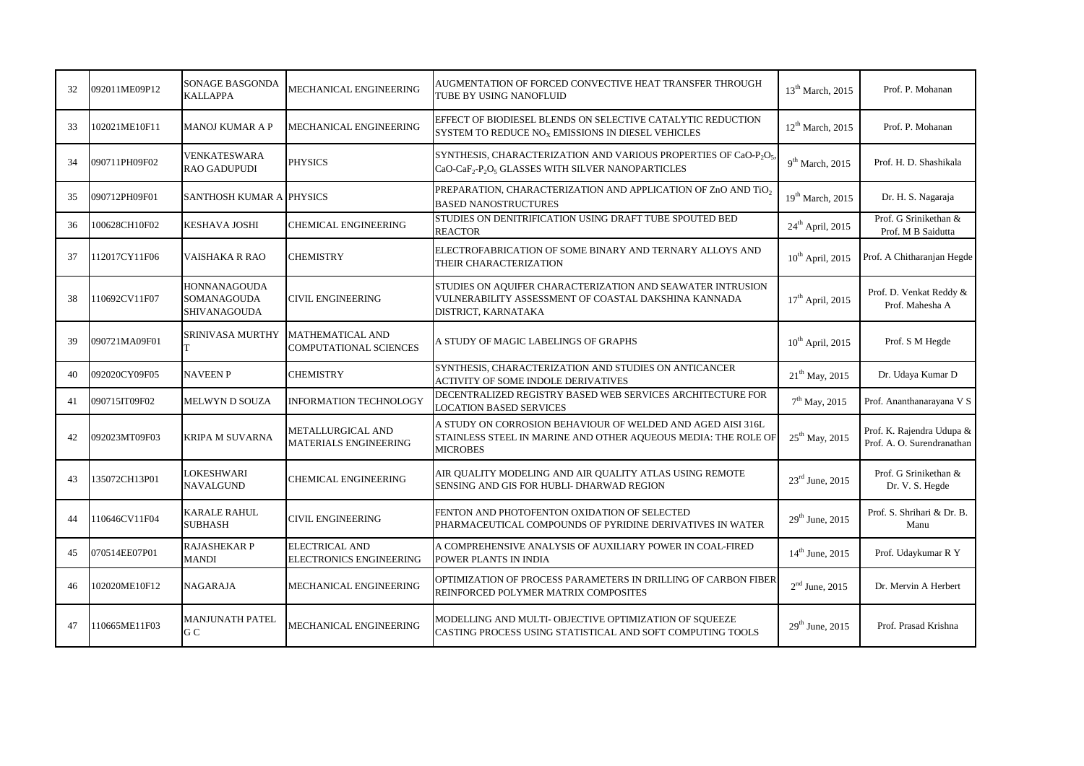| 32 | 092011ME09P12 | <b>SONAGE BASGONDA</b><br><b>KALLAPPA</b>          | MECHANICAL ENGINEERING                                  | AUGMENTATION OF FORCED CONVECTIVE HEAT TRANSFER THROUGH<br>TUBE BY USING NANOFLUID                                                                                                 | 13 <sup>th</sup> March, 2015 | Prof. P. Mohanan                                        |
|----|---------------|----------------------------------------------------|---------------------------------------------------------|------------------------------------------------------------------------------------------------------------------------------------------------------------------------------------|------------------------------|---------------------------------------------------------|
| 33 | 102021ME10F11 | <b>MANOJ KUMAR A P</b>                             | MECHANICAL ENGINEERING                                  | EFFECT OF BIODIESEL BLENDS ON SELECTIVE CATALYTIC REDUCTION<br>SYSTEM TO REDUCE NO <sub>X</sub> EMISSIONS IN DIESEL VEHICLES                                                       | $12^{th}$ March, 2015        | Prof. P. Mohanan                                        |
| 34 | 090711PH09F02 | <b>VENKATESWARA</b><br><b>RAO GADUPUDI</b>         | <b>PHYSICS</b>                                          | SYNTHESIS, CHARACTERIZATION AND VARIOUS PROPERTIES OF CaO-P <sub>2</sub> O <sub>5</sub> .<br>CaO-CaF <sub>2</sub> -P <sub>2</sub> O <sub>5</sub> GLASSES WITH SILVER NANOPARTICLES | 9 <sup>th</sup> March, 2015  | Prof. H. D. Shashikala                                  |
| 35 | 090712PH09F01 | <b>SANTHOSH KUMAR A PHYSICS</b>                    |                                                         | PREPARATION, CHARACTERIZATION AND APPLICATION OF ZnO AND TiO2<br><b>BASED NANOSTRUCTURES</b>                                                                                       | $19th$ March, 2015           | Dr. H. S. Nagaraja                                      |
| 36 | 100628CH10F02 | <b>KESHAVA JOSHI</b>                               | CHEMICAL ENGINEERING                                    | STUDIES ON DENITRIFICATION USING DRAFT TUBE SPOUTED BED<br><b>REACTOR</b>                                                                                                          | 24 <sup>th</sup> April, 2015 | Prof. G Srinikethan &<br>Prof. M B Saidutta             |
| 37 | 112017CY11F06 | VAISHAKA R RAO                                     | <b>CHEMISTRY</b>                                        | ELECTROFABRICATION OF SOME BINARY AND TERNARY ALLOYS AND<br>THEIR CHARACTERIZATION                                                                                                 | $10^{th}$ April, 2015        | Prof. A Chitharanjan Hegde                              |
| 38 | 110692CV11F07 | HONNANAGOUDA<br>SOMANAGOUDA<br><b>SHIVANAGOUDA</b> | <b>CIVIL ENGINEERING</b>                                | STUDIES ON AQUIFER CHARACTERIZATION AND SEAWATER INTRUSION<br>VULNERABILITY ASSESSMENT OF COASTAL DAKSHINA KANNADA<br>DISTRICT, KARNATAKA                                          | $17^{\rm th}$ April, 2015    | Prof. D. Venkat Reddy &<br>Prof. Mahesha A              |
| 39 | 090721MA09F01 | <b>SRINIVASA MURTHY</b>                            | <b>MATHEMATICAL AND</b><br>COMPUTATIONAL SCIENCES       | A STUDY OF MAGIC LABELINGS OF GRAPHS                                                                                                                                               | $10^{th}$ April, 2015        | Prof. S M Hegde                                         |
| 40 | 092020CY09F05 | <b>NAVEEN P</b>                                    | <b>CHEMISTRY</b>                                        | SYNTHESIS, CHARACTERIZATION AND STUDIES ON ANTICANCER<br>ACTIVITY OF SOME INDOLE DERIVATIVES                                                                                       | $21^{th}$ May, 2015          | Dr. Udaya Kumar D                                       |
| 41 | 090715IT09F02 | <b>MELWYN D SOUZA</b>                              | <b>INFORMATION TECHNOLOGY</b>                           | DECENTRALIZED REGISTRY BASED WEB SERVICES ARCHITECTURE FOR<br><b>LOCATION BASED SERVICES</b>                                                                                       | $7th$ May, 2015              | Prof. Ananthanarayana V S                               |
| 42 | 092023MT09F03 | <b>KRIPA M SUVARNA</b>                             | METALLURGICAL AND<br><b>MATERIALS ENGINEERING</b>       | A STUDY ON CORROSION BEHAVIOUR OF WELDED AND AGED AISI 316L<br>STAINLESS STEEL IN MARINE AND OTHER AQUEOUS MEDIA: THE ROLE OF<br><b>MICROBES</b>                                   | $25^{th}$ May, 2015          | Prof. K. Rajendra Udupa &<br>Prof. A. O. Surendranathan |
| 43 | 135072CH13P01 | LOKESHWARI<br><b>NAVALGUND</b>                     | <b>CHEMICAL ENGINEERING</b>                             | AIR QUALITY MODELING AND AIR QUALITY ATLAS USING REMOTE<br>SENSING AND GIS FOR HUBLI- DHARWAD REGION                                                                               | $23^{\text{rd}}$ June, 2015  | Prof. G Srinikethan &<br>Dr. V. S. Hegde                |
| 44 | 110646CV11F04 | <b>KARALE RAHUL</b><br><b>SUBHASH</b>              | <b>CIVIL ENGINEERING</b>                                | FENTON AND PHOTOFENTON OXIDATION OF SELECTED<br>PHARMACEUTICAL COMPOUNDS OF PYRIDINE DERIVATIVES IN WATER                                                                          | $29^{th}$ June, 2015         | Prof. S. Shrihari & Dr. B.<br>Manu                      |
| 45 | 070514EE07P01 | <b>RAJASHEKAR P</b><br><b>MANDI</b>                | <b>ELECTRICAL AND</b><br><b>ELECTRONICS ENGINEERING</b> | A COMPREHENSIVE ANALYSIS OF AUXILIARY POWER IN COAL-FIRED<br>POWER PLANTS IN INDIA                                                                                                 | $14^{th}$ June, 2015         | Prof. Udaykumar R Y                                     |
| 46 | 102020ME10F12 | <b>NAGARAJA</b>                                    | MECHANICAL ENGINEERING                                  | OPTIMIZATION OF PROCESS PARAMETERS IN DRILLING OF CARBON FIBER<br>REINFORCED POLYMER MATRIX COMPOSITES                                                                             | $2nd$ June, 2015             | Dr. Mervin A Herbert                                    |
| 47 | 110665ME11F03 | <b>MANJUNATH PATEL</b><br>G C                      | MECHANICAL ENGINEERING                                  | MODELLING AND MULTI- OBJECTIVE OPTIMIZATION OF SQUEEZE<br>CASTING PROCESS USING STATISTICAL AND SOFT COMPUTING TOOLS                                                               | $29^{th}$ June, 2015         | Prof. Prasad Krishna                                    |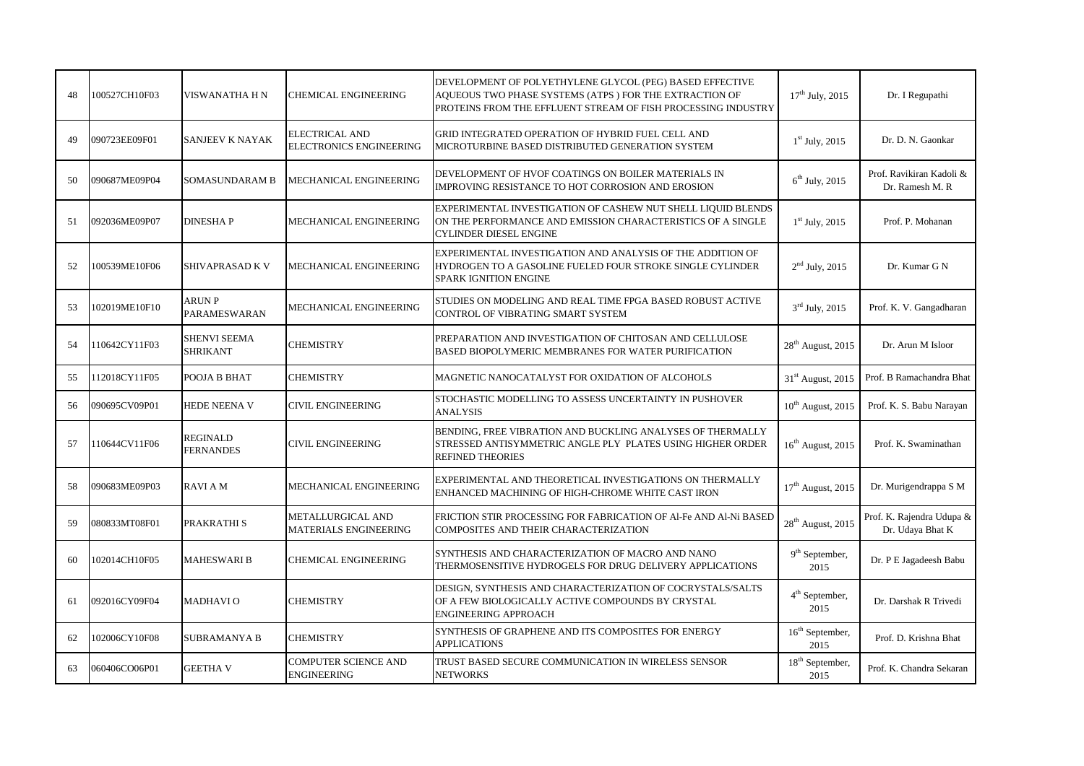| 48 | 100527CH10F03 | VISWANATHA H N                         | <b>CHEMICAL ENGINEERING</b>                             | DEVELOPMENT OF POLYETHYLENE GLYCOL (PEG) BASED EFFECTIVE<br>AQUEOUS TWO PHASE SYSTEMS (ATPS ) FOR THE EXTRACTION OF<br>PROTEINS FROM THE EFFLUENT STREAM OF FISH PROCESSING INDUSTRY | $17^{th}$ July, 2015                | Dr. I Regupathi                               |
|----|---------------|----------------------------------------|---------------------------------------------------------|--------------------------------------------------------------------------------------------------------------------------------------------------------------------------------------|-------------------------------------|-----------------------------------------------|
| 49 | 090723EE09F01 | SANJEEV K NAYAK                        | <b>ELECTRICAL AND</b><br><b>ELECTRONICS ENGINEERING</b> | GRID INTEGRATED OPERATION OF HYBRID FUEL CELL AND<br>MICROTURBINE BASED DISTRIBUTED GENERATION SYSTEM                                                                                | $1st$ July, 2015                    | Dr. D. N. Gaonkar                             |
| 50 | 090687ME09P04 | SOMASUNDARAM B                         | MECHANICAL ENGINEERING                                  | DEVELOPMENT OF HVOF COATINGS ON BOILER MATERIALS IN<br>IMPROVING RESISTANCE TO HOT CORROSION AND EROSION                                                                             | $6th$ July, 2015                    | Prof. Ravikiran Kadoli &<br>Dr. Ramesh M. R   |
| 51 | 092036ME09P07 | <b>DINESHAP</b>                        | MECHANICAL ENGINEERING                                  | EXPERIMENTAL INVESTIGATION OF CASHEW NUT SHELL LIQUID BLENDS<br>ON THE PERFORMANCE AND EMISSION CHARACTERISTICS OF A SINGLE<br><b>CYLINDER DIESEL ENGINE</b>                         | $1st$ July, 2015                    | Prof. P. Mohanan                              |
| 52 | 100539ME10F06 | SHIVAPRASAD K V                        | MECHANICAL ENGINEERING                                  | EXPERIMENTAL INVESTIGATION AND ANALYSIS OF THE ADDITION OF<br>HYDROGEN TO A GASOLINE FUELED FOUR STROKE SINGLE CYLINDER<br><b>SPARK IGNITION ENGINE</b>                              | $2nd$ July, 2015                    | Dr. Kumar G N                                 |
| 53 | 102019ME10F10 | ARUN P<br><b>PARAMESWARAN</b>          | MECHANICAL ENGINEERING                                  | STUDIES ON MODELING AND REAL TIME FPGA BASED ROBUST ACTIVE<br>CONTROL OF VIBRATING SMART SYSTEM                                                                                      | $3rd$ July, 2015                    | Prof. K. V. Gangadharan                       |
| 54 | 110642CY11F03 | <b>SHENVI SEEMA</b><br><b>SHRIKANT</b> | <b>CHEMISTRY</b>                                        | PREPARATION AND INVESTIGATION OF CHITOSAN AND CELLULOSE<br>BASED BIOPOLYMERIC MEMBRANES FOR WATER PURIFICATION                                                                       | $28^{\rm th}$ August, 2015          | Dr. Arun M Isloor                             |
| 55 | 112018CY11F05 | POOJA B BHAT                           | <b>CHEMISTRY</b>                                        | MAGNETIC NANOCATALYST FOR OXIDATION OF ALCOHOLS                                                                                                                                      | 31 <sup>st</sup> August, 2015       | Prof. B Ramachandra Bhat                      |
| 56 | 090695CV09P01 | <b>HEDE NEENA V</b>                    | CIVIL ENGINEERING                                       | STOCHASTIC MODELLING TO ASSESS UNCERTAINTY IN PUSHOVER<br><b>ANALYSIS</b>                                                                                                            | $10^{th}$ August, 2015              | Prof. K. S. Babu Narayan                      |
| 57 | 110644CV11F06 | REGINALD<br><b>FERNANDES</b>           | <b>CIVIL ENGINEERING</b>                                | BENDING, FREE VIBRATION AND BUCKLING ANALYSES OF THERMALLY<br>STRESSED ANTISYMMETRIC ANGLE PLY PLATES USING HIGHER ORDER<br><b>REFINED THEORIES</b>                                  | $16^{\text{th}}$ August, 2015       | Prof. K. Swaminathan                          |
| 58 | 090683ME09P03 | <b>RAVIAM</b>                          | MECHANICAL ENGINEERING                                  | EXPERIMENTAL AND THEORETICAL INVESTIGATIONS ON THERMALLY<br>ENHANCED MACHINING OF HIGH-CHROME WHITE CAST IRON                                                                        | $17th$ August, 2015                 | Dr. Murigendrappa S M                         |
| 59 | 080833MT08F01 | PRAKRATHI S                            | METALLURGICAL AND<br><b>MATERIALS ENGINEERING</b>       | FRICTION STIR PROCESSING FOR FABRICATION OF Al-Fe AND Al-Ni BASED<br>COMPOSITES AND THEIR CHARACTERIZATION                                                                           | $28th$ August, 2015                 | Prof. K. Rajendra Udupa &<br>Dr. Udaya Bhat K |
| 60 | 102014CH10F05 | <b>MAHESWARI B</b>                     | <b>CHEMICAL ENGINEERING</b>                             | SYNTHESIS AND CHARACTERIZATION OF MACRO AND NANO<br>THERMOSENSITIVE HYDROGELS FOR DRUG DELIVERY APPLICATIONS                                                                         | $9th$ September,<br>2015            | Dr. P E Jagadeesh Babu                        |
| 61 | 092016CY09F04 | <b>MADHAVIO</b>                        | <b>CHEMISTRY</b>                                        | DESIGN, SYNTHESIS AND CHARACTERIZATION OF COCRYSTALS/SALTS<br>OF A FEW BIOLOGICALLY ACTIVE COMPOUNDS BY CRYSTAL<br><b>ENGINEERING APPROACH</b>                                       | 4 <sup>th</sup> September,<br>2015  | Dr. Darshak R Trivedi                         |
| 62 | 102006CY10F08 | <b>SUBRAMANYA B</b>                    | <b>CHEMISTRY</b>                                        | SYNTHESIS OF GRAPHENE AND ITS COMPOSITES FOR ENERGY<br><b>APPLICATIONS</b>                                                                                                           | 16 <sup>th</sup> September,<br>2015 | Prof. D. Krishna Bhat                         |
| 63 | 060406CO06P01 | <b>GEETHA V</b>                        | COMPUTER SCIENCE AND<br><b>ENGINEERING</b>              | TRUST BASED SECURE COMMUNICATION IN WIRELESS SENSOR<br><b>NETWORKS</b>                                                                                                               | $18th$ September,<br>2015           | Prof. K. Chandra Sekaran                      |